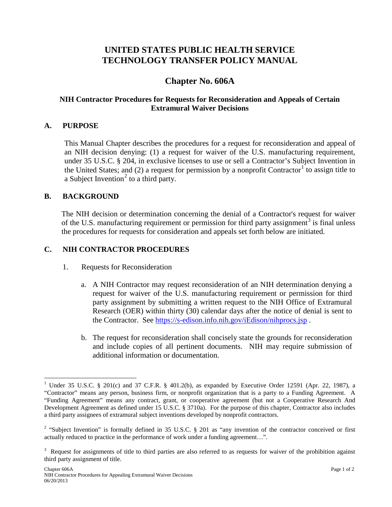# **UNITED STATES PUBLIC HEALTH SERVICE TECHNOLOGY TRANSFER POLICY MANUAL**

# **Chapter No. 606A**

## **NIH Contractor Procedures for Requests for Reconsideration and Appeals of Certain Extramural Waiver Decisions**

#### **A. PURPOSE**

This Manual Chapter describes the procedures for a request for reconsideration and appeal of an NIH decision denying: (1) a request for waiver of the U.S. manufacturing requirement, under 35 U.S.C. § 204, in exclusive licenses to use or sell a Contractor's Subject Invention in the United States; and (2) a request for permission by a nonprofit Contractor<sup>[1](#page-0-0)</sup> to assign title to a Subject Invention<sup>[2](#page-0-1)</sup> to a third party.

#### **B. BACKGROUND**

The NIH decision or determination concerning the denial of a Contractor's request for waiver of the U.S. manufacturing requirement or permission for third party assignment<sup>[3](#page-0-2)</sup> is final unless the procedures for requests for consideration and appeals set forth below are initiated.

#### **C. NIH CONTRACTOR PROCEDURES**

- 1. Requests for Reconsideration
	- a. A NIH Contractor may request reconsideration of an NIH determination denying a request for waiver of the U.S. manufacturing requirement or permission for third party assignment by submitting a written request to the NIH Office of Extramural Research (OER) within thirty (30) calendar days after the notice of denial is sent to the Contractor. See <https://s-edison.info.nih.gov/iEdison/nihprocs.jsp> .
	- b. The request for reconsideration shall concisely state the grounds for reconsideration and include copies of all pertinent documents. NIH may require submission of additional information or documentation.

<span id="page-0-0"></span><sup>&</sup>lt;sup>1</sup> Under 35 U.S.C. § 201(c) and 37 C.F.R. § 401.2(b), as expanded by Executive Order 12591 (Apr. 22, 1987), a "Contractor" means any person, business firm, or nonprofit organization that is a party to a Funding Agreement. A "Funding Agreement" means any contract, grant, or cooperative agreement (but not a Cooperative Research And Development Agreement as defined under 15 U.S.C. § 3710a). For the purpose of this chapter, Contractor also includes a third party assignees of extramural subject inventions developed by nonprofit contractors.

<span id="page-0-1"></span><sup>&</sup>lt;sup>2</sup> "Subject Invention" is formally defined in 35 U.S.C.  $\S$  201 as "any invention of the contractor conceived or first actually reduced to practice in the performance of work under a funding agreement…".

<span id="page-0-2"></span> $3$  Request for assignments of title to third parties are also referred to as requests for waiver of the prohibition against third party assignment of title.